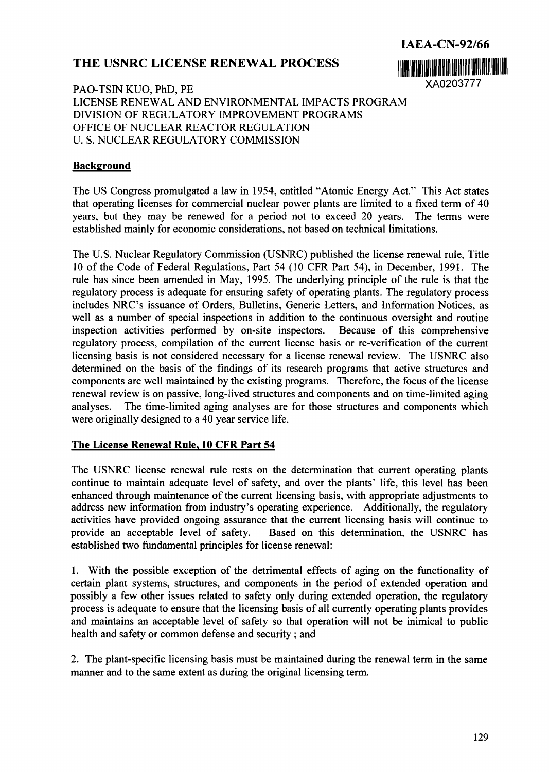## **THE USNRC LICENSE RENEWAL PROCESS <b>111 11 11 11 11 11 11 11 11 11**



PAO-TSIN KUO, PhD, PE XA0203777 LICENSE RENEWAL AND ENVIRONMENTAL IMPACTS PROGRAM DIVISION OF REGULATORY IMPROVEMENT PROGRAMS OFFICE OF NUCLEAR REACTOR REGULATION U. S. NUCLEAR REGULATORY COMMISSION

## **Background**

The US Congress promulgated a law in *1954,* entitled "Atomic Energy Act." This Act states that operating licenses for commercial nuclear power plants are limited to a fixed term of 40 years, but they may be renewed for a period not to exceed 20 years. The terms were established mainly for economic considerations, not based on technical limitations.

The U.S. Nuclear Regulatory Commission (USNRC) published the license renewal rule, Title 10 of the Code of Federal Regulations, Part *54* (10 CFR Part *54),* in December, 1991. The rule has since been amended in May, *1995.* The underlying principle of the rule is that the regulatory process is adequate for ensuring safety of operating plants. The regulatory process includes NRC's issuance of Orders, Bulletins, Generic Letters, and Information Notices, as well as a number of special inspections in addition to the continuous oversight and routine inspection activities performed by on-site inspectors. Because of this comprehensive regulatory process, compilation of the current license basis or re-verification of the current licensing basis is not considered necessary for a license renewal review. The USNRC also determined on the basis of the findings of its research programs that active structures and components are well maintained by the existing programs. Therefore, the focus of the license renewal review is on passive, long-lived structures and components and on time-limited aging analyses. The time-limited aging analyses are for those structures and components which were originally designed to a 40 year service life.

## **The License Renewal Rule, 10 CFR Part 54**

The USNRC license renewal rule rests on the determination that current operating plants continue to maintain adequate level of safety, and over the plants' life, this level has been enhanced through maintenance of the current licensing basis, with appropriate adjustments to address new information from industry's operating experience. Additionally, the regulatory activities have provided ongoing assurance that the current licensing basis will continue to provide an acceptable level of safety. Based on this determination, the USNRC has established two fundamental principles for license renewal:

1. With the possible exception of the detrimental effects of aging on the functionality of certain plant systems, structures, and components in the period of extended operation and possibly a few other issues related to safety only during extended operation, the regulatory process is adequate to ensure that the licensing basis of all currently operating plants provides and maintains an acceptable level of safety so that operation will not be inimical to public health and safety or common defense and security ; and

2. The plant-specific licensing basis must be maintained during the renewal term in the same manner and to the same extent as during the original licensing term.